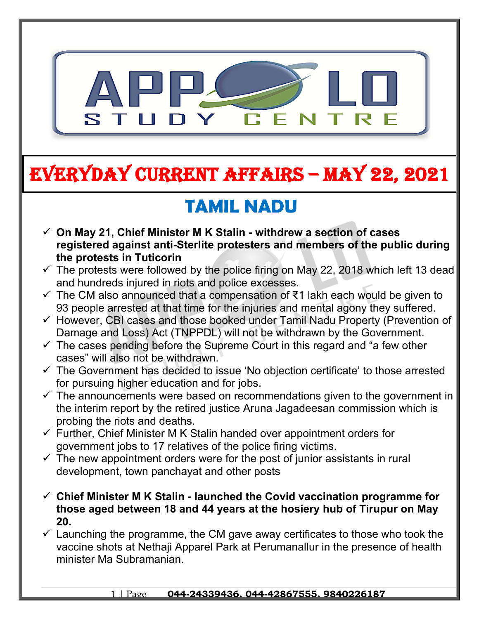

# **EVERYDAY CURRENT AFFAIRS – MAY 22, 2021**

### **TAMIL NADU**

**-**

- **On May 21, Chief Minister M K Stalin withdrew a section of cases registered against anti-Sterlite protesters and members of the public during the protests in Tuticorin**
- $\checkmark$  The protests were followed by the police firing on May 22, 2018 which left 13 dead and hundreds injured in riots and police excesses.
- $\checkmark$  The CM also announced that a compensation of  $\checkmark$ 1 lakh each would be given to 93 people arrested at that time for the injuries and mental agony they suffered.
- $\checkmark$  However, CBI cases and those booked under Tamil Nadu Property (Prevention of Damage and Loss) Act (TNPPDL) will not be withdrawn by the Government.
- $\checkmark$  The cases pending before the Supreme Court in this regard and "a few other cases" will also not be withdrawn.
- $\checkmark$  The Government has decided to issue 'No objection certificate' to those arrested for pursuing higher education and for jobs.
- $\checkmark$  The announcements were based on recommendations given to the government in the interim report by the retired justice Aruna Jagadeesan commission which is probing the riots and deaths.
- $\checkmark$  Further, Chief Minister M K Stalin handed over appointment orders for government jobs to 17 relatives of the police firing victims.
- $\checkmark$  The new appointment orders were for the post of junior assistants in rural development, town panchayat and other posts
- **Chief Minister M K Stalin launched the Covid vaccination programme for those aged between 18 and 44 years at the hosiery hub of Tirupur on May 20.**
- $\checkmark$  Launching the programme, the CM gave away certificates to those who took the vaccine shots at Nethaji Apparel Park at Perumanallur in the presence of health minister Ma Subramanian.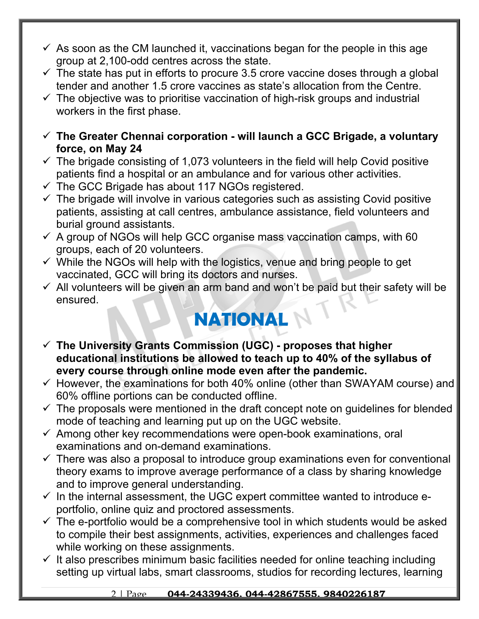- $\checkmark$  As soon as the CM launched it, vaccinations began for the people in this age group at 2,100-odd centres across the state.
- $\checkmark$  The state has put in efforts to procure 3.5 crore vaccine doses through a global tender and another 1.5 crore vaccines as state's allocation from the Centre.
- $\checkmark$  The objective was to prioritise vaccination of high-risk groups and industrial workers in the first phase.
- **The Greater Chennai corporation will launch a GCC Brigade, a voluntary force, on May 24**
- $\checkmark$  The brigade consisting of 1,073 volunteers in the field will help Covid positive patients find a hospital or an ambulance and for various other activities.
- $\checkmark$  The GCC Brigade has about 117 NGOs registered.
- $\checkmark$  The brigade will involve in various categories such as assisting Covid positive patients, assisting at call centres, ambulance assistance, field volunteers and burial ground assistants.
- $\checkmark$  A group of NGOs will help GCC organise mass vaccination camps, with 60 groups, each of 20 volunteers.
- $\checkmark$  While the NGOs will help with the logistics, venue and bring people to get vaccinated, GCC will bring its doctors and nurses.
- $\checkmark$  All volunteers will be given an arm band and won't be paid but their safety will be ensured.

#### **NATIONAL**

- **The University Grants Commission (UGC) proposes that higher educational institutions be allowed to teach up to 40% of the syllabus of every course through online mode even after the pandemic.**
- $\checkmark$  However, the examinations for both 40% online (other than SWAYAM course) and 60% offline portions can be conducted offline.
- $\checkmark$  The proposals were mentioned in the draft concept note on guidelines for blended mode of teaching and learning put up on the UGC website.
- $\checkmark$  Among other key recommendations were open-book examinations, oral examinations and on-demand examinations.
- $\checkmark$  There was also a proposal to introduce group examinations even for conventional theory exams to improve average performance of a class by sharing knowledge and to improve general understanding.
- $\checkmark$  In the internal assessment, the UGC expert committee wanted to introduce eportfolio, online quiz and proctored assessments.
- $\checkmark$  The e-portfolio would be a comprehensive tool in which students would be asked to compile their best assignments, activities, experiences and challenges faced while working on these assignments.
- $\checkmark$  It also prescribes minimum basic facilities needed for online teaching including setting up virtual labs, smart classrooms, studios for recording lectures, learning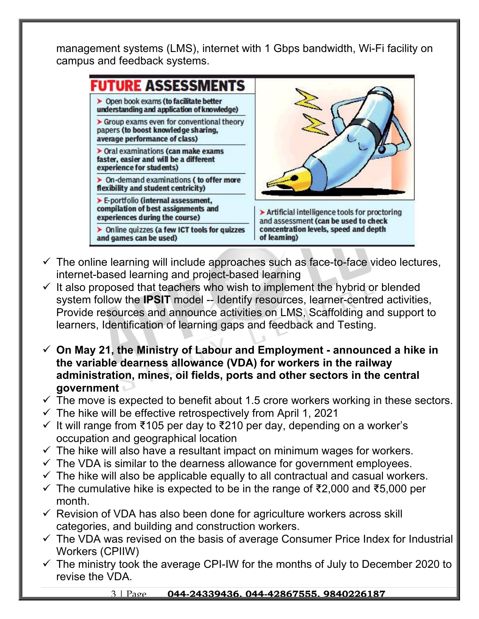management systems (LMS), internet with 1 Gbps bandwidth, Wi-Fi facility on campus and feedback systems.



- $\checkmark$  The online learning will include approaches such as face-to-face video lectures, internet-based learning and project-based learning
- $\checkmark$  It also proposed that teachers who wish to implement the hybrid or blended system follow the **IPSIT** model -- Identify resources, learner-centred activities, Provide resources and announce activities on LMS, Scaffolding and support to learners, Identification of learning gaps and feedback and Testing.
- **On May 21, the Ministry of Labour and Employment announced a hike in the variable dearness allowance (VDA) for workers in the railway administration, mines, oil fields, ports and other sectors in the central government**
- $\checkmark$  The move is expected to benefit about 1.5 crore workers working in these sectors.
- $\checkmark$  The hike will be effective retrospectively from April 1, 2021
- $\checkmark$  It will range from ₹105 per day to ₹210 per day, depending on a worker's occupation and geographical location
- $\checkmark$  The hike will also have a resultant impact on minimum wages for workers.
- $\checkmark$  The VDA is similar to the dearness allowance for government employees.
- $\checkmark$  The hike will also be applicable equally to all contractual and casual workers.
- $\checkmark$  The cumulative hike is expected to be in the range of ₹2,000 and ₹5,000 per month.
- $\checkmark$  Revision of VDA has also been done for agriculture workers across skill categories, and building and construction workers.
- $\checkmark$  The VDA was revised on the basis of average Consumer Price Index for Industrial Workers (CPIIW)
- $\checkmark$  The ministry took the average CPI-IW for the months of July to December 2020 to revise the VDA.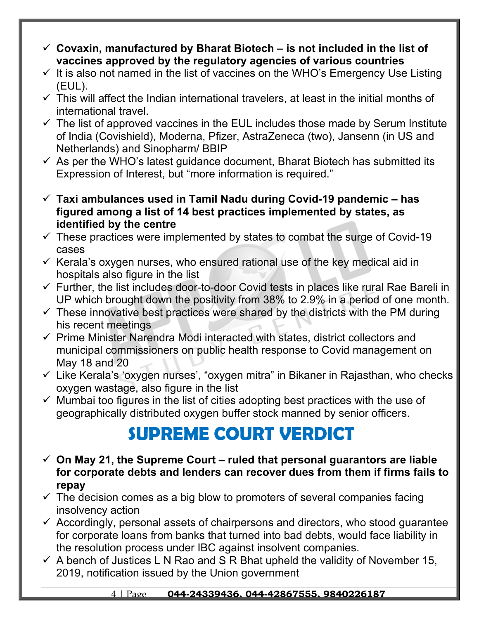- **Covaxin, manufactured by Bharat Biotech is not included in the list of vaccines approved by the regulatory agencies of various countries**
- $\checkmark$  It is also not named in the list of vaccines on the WHO's Emergency Use Listing (EUL).
- $\checkmark$  This will affect the Indian international travelers, at least in the initial months of international travel.
- $\checkmark$  The list of approved vaccines in the EUL includes those made by Serum Institute of India (Covishield), Moderna, Pfizer, AstraZeneca (two), Jansenn (in US and Netherlands) and Sinopharm/ BBIP
- $\checkmark$  As per the WHO's latest quidance document, Bharat Biotech has submitted its Expression of Interest, but "more information is required."
- **Taxi ambulances used in Tamil Nadu during Covid-19 pandemic has figured among a list of 14 best practices implemented by states, as identified by the centre**
- $\checkmark$  These practices were implemented by states to combat the surge of Covid-19 cases
- $\checkmark$  Kerala's oxygen nurses, who ensured rational use of the key medical aid in hospitals also figure in the list
- $\checkmark$  Further, the list includes door-to-door Covid tests in places like rural Rae Bareli in UP which brought down the positivity from 38% to 2.9% in a period of one month.
- $\checkmark$  These innovative best practices were shared by the districts with the PM during his recent meetings
- $\checkmark$  Prime Minister Narendra Modi interacted with states, district collectors and municipal commissioners on public health response to Covid management on May 18 and 20
- $\checkmark$  Like Kerala's 'oxygen nurses', "oxygen mitra" in Bikaner in Rajasthan, who checks oxygen wastage, also figure in the list
- $\checkmark$  Mumbai too figures in the list of cities adopting best practices with the use of geographically distributed oxygen buffer stock manned by senior officers.

#### **SUPREME COURT VERDICT**

- **On May 21, the Supreme Court ruled that personal guarantors are liable for corporate debts and lenders can recover dues from them if firms fails to repay**
- $\checkmark$  The decision comes as a big blow to promoters of several companies facing insolvency action
- $\checkmark$  Accordingly, personal assets of chairpersons and directors, who stood guarantee for corporate loans from banks that turned into bad debts, would face liability in the resolution process under IBC against insolvent companies.
- $\checkmark$  A bench of Justices L N Rao and S R Bhat upheld the validity of November 15, 2019, notification issued by the Union government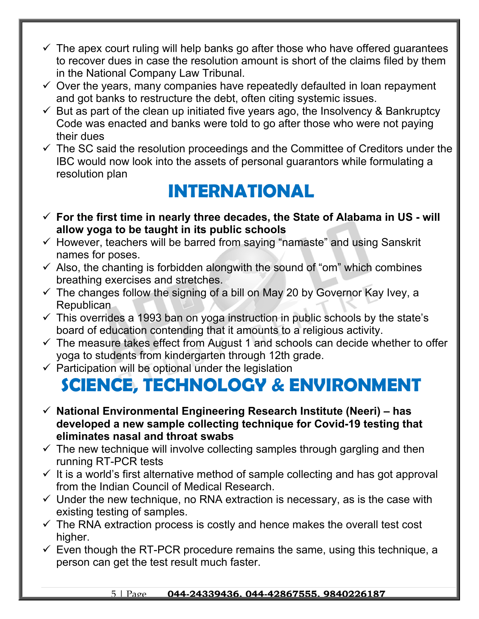- $\checkmark$  The apex court ruling will help banks go after those who have offered guarantees to recover dues in case the resolution amount is short of the claims filed by them in the National Company Law Tribunal.
- $\checkmark$  Over the years, many companies have repeatedly defaulted in loan repayment and got banks to restructure the debt, often citing systemic issues.
- $\checkmark$  But as part of the clean up initiated five years ago, the Insolvency & Bankruptcy Code was enacted and banks were told to go after those who were not paying their dues
- $\checkmark$  The SC said the resolution proceedings and the Committee of Creditors under the IBC would now look into the assets of personal guarantors while formulating a resolution plan

#### **INTERNATIONAL**

- **For the first time in nearly three decades, the State of Alabama in US will allow yoga to be taught in its public schools**
- $\checkmark$  However, teachers will be barred from saying "namaste" and using Sanskrit names for poses.
- $\checkmark$  Also, the chanting is forbidden alongwith the sound of "om" which combines breathing exercises and stretches.
- $\checkmark$  The changes follow the signing of a bill on May 20 by Governor Kay Ivey, a Republican
- $\checkmark$  This overrides a 1993 ban on yoga instruction in public schools by the state's board of education contending that it amounts to a religious activity.
- $\checkmark$  The measure takes effect from August 1 and schools can decide whether to offer yoga to students from kindergarten through 12th grade.
- $\checkmark$  Participation will be optional under the legislation

## **SCIENCE, TECHNOLOGY & ENVIRONMENT**

- **National Environmental Engineering Research Institute (Neeri) has developed a new sample collecting technique for Covid-19 testing that eliminates nasal and throat swabs**
- $\checkmark$  The new technique will involve collecting samples through gargling and then running RT-PCR tests
- $\checkmark$  It is a world's first alternative method of sample collecting and has got approval from the Indian Council of Medical Research.
- $\checkmark$  Under the new technique, no RNA extraction is necessary, as is the case with existing testing of samples.
- $\checkmark$  The RNA extraction process is costly and hence makes the overall test cost higher.
- $\checkmark$  Even though the RT-PCR procedure remains the same, using this technique, a person can get the test result much faster.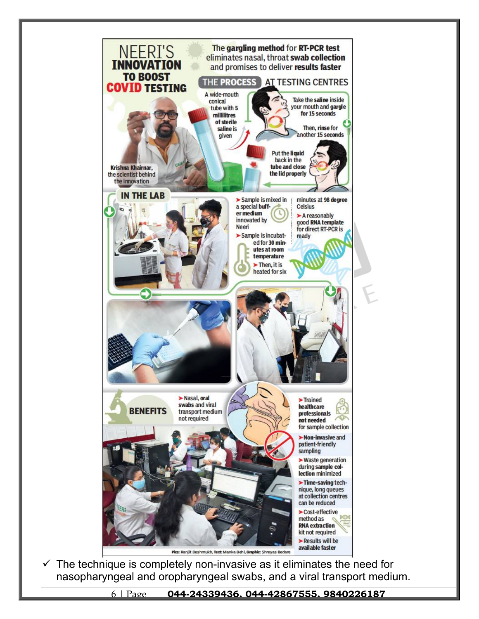

 $\checkmark$  The technique is completely non-invasive as it eliminates the need for nasopharyngeal and oropharyngeal swabs, and a viral transport medium.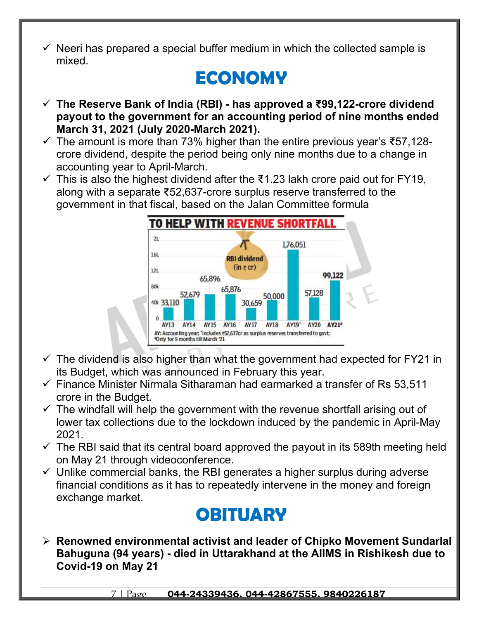$\checkmark$  Neeri has prepared a special buffer medium in which the collected sample is mixed.

### **ECONOMY**

- **The Reserve Bank of India (RBI) has approved a ₹99,122-crore dividend payout to the government for an accounting period of nine months ended March 31, 2021 (July 2020-March 2021).**
- $\checkmark$  The amount is more than 73% higher than the entire previous year's  $\check{\tau}$ 57,128crore dividend, despite the period being only nine months due to a change in accounting year to April-March.
- $\checkmark$  This is also the highest dividend after the ₹1.23 lakh crore paid out for FY19, along with a separate ₹52,637-crore surplus reserve transferred to the government in that fiscal, based on the Jalan Committee formula



- $\checkmark$  The dividend is also higher than what the government had expected for FY21 in its Budget, which was announced in February this year.
- $\checkmark$  Finance Minister Nirmala Sitharaman had earmarked a transfer of Rs 53,511 crore in the Budget.
- $\checkmark$  The windfall will help the government with the revenue shortfall arising out of lower tax collections due to the lockdown induced by the pandemic in April-May 2021.
- $\checkmark$  The RBI said that its central board approved the payout in its 589th meeting held on May 21 through videoconference.
- $\checkmark$  Unlike commercial banks, the RBI generates a higher surplus during adverse financial conditions as it has to repeatedly intervene in the money and foreign exchange market.

#### **OBITUARY**

 **Renowned environmental activist and leader of Chipko Movement Sundarlal Bahuguna (94 years) - died in Uttarakhand at the AIIMS in Rishikesh due to Covid-19 on May 21**

7 | Page **044-24339436, 044-42867555, 9840226187**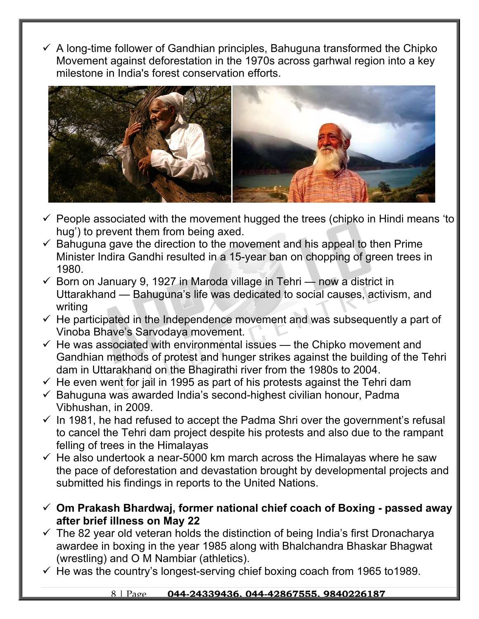$\checkmark$  A long-time follower of Gandhian principles, Bahuguna transformed the Chipko Movement against deforestation in the 1970s across garhwal region into a key milestone in India's forest conservation efforts.



- $\checkmark$  People associated with the movement hugged the trees (chipko in Hindi means 'to hug') to prevent them from being axed.
- $\checkmark$  Bahuguna gave the direction to the movement and his appeal to then Prime Minister Indira Gandhi resulted in a 15-year ban on chopping of green trees in 1980.
- $\checkmark$  Born on January 9, 1927 in Maroda village in Tehri now a district in Uttarakhand — Bahuguna's life was dedicated to social causes, activism, and writing
- $\checkmark$  He participated in the Independence movement and was subsequently a part of Vinoba Bhave's Sarvodaya movement.
- $\checkmark$  He was associated with environmental issues the Chipko movement and Gandhian methods of protest and hunger strikes against the building of the Tehri dam in Uttarakhand on the Bhagirathi river from the 1980s to 2004.
- $\checkmark$  He even went for jail in 1995 as part of his protests against the Tehri dam
- $\checkmark$  Bahuguna was awarded India's second-highest civilian honour, Padma Vibhushan, in 2009.
- $\checkmark$  In 1981, he had refused to accept the Padma Shri over the government's refusal to cancel the Tehri dam project despite his protests and also due to the rampant felling of trees in the Himalayas
- $\checkmark$  He also undertook a near-5000 km march across the Himalayas where he saw the pace of deforestation and devastation brought by developmental projects and submitted his findings in reports to the United Nations.
- **Om Prakash Bhardwaj, former national chief coach of Boxing passed away after brief illness on May 22**
- $\checkmark$  The 82 year old veteran holds the distinction of being India's first Dronacharya awardee in boxing in the year 1985 along with Bhalchandra Bhaskar Bhagwat (wrestling) and O M Nambiar (athletics).
- $\checkmark$  He was the country's longest-serving chief boxing coach from 1965 to 1989.